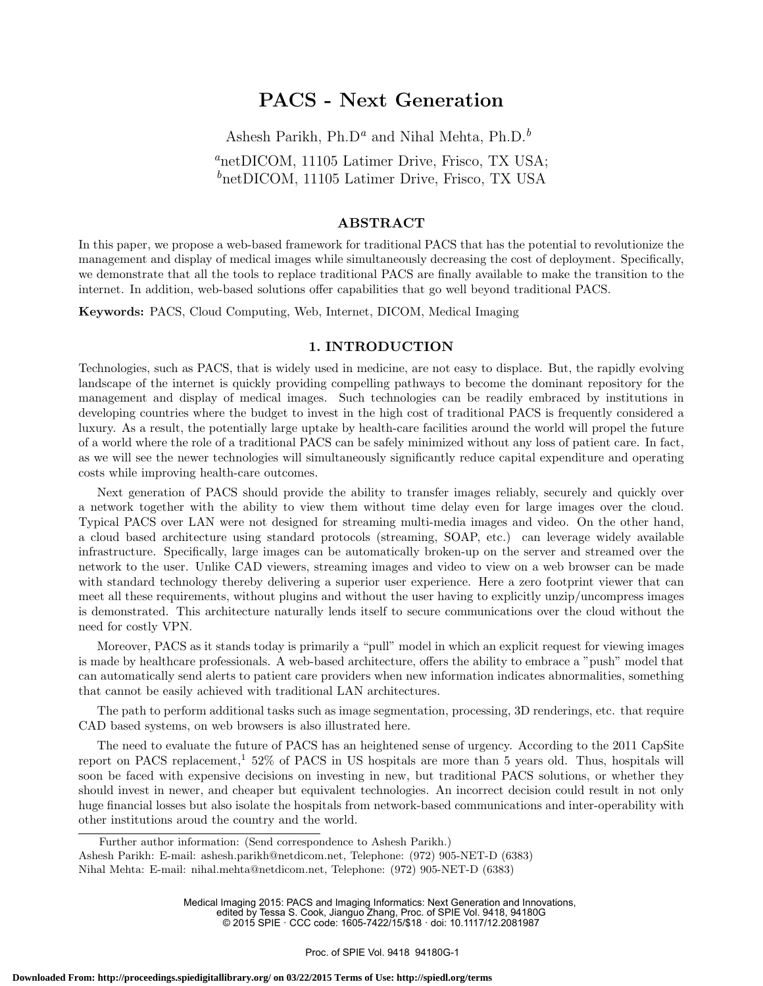# PACS - Next Generation

Ashesh Parikh, Ph.D<sup>a</sup> and Nihal Mehta, Ph.D.<sup>b</sup> <sup>a</sup>netDICOM, 11105 Latimer Drive, Frisco, TX USA;  $b$ netDICOM, 11105 Latimer Drive, Frisco, TX USA

#### ${\rm ABSTRACT}$

In this paper, we propose a web-based framework for traditional PACS that has the potential to revolutionize the management and display of medical images while simultaneously decreasing the cost of deployment. Specifically, we demonstrate that all the tools to replace traditional PACS are finally available to make the transition to the internet. In addition, web-based solutions offer capabilities that go well beyond traditional PACS.

Keywords: PACS, Cloud Computing, Web, Internet, DICOM, Medical Imaging

#### 1. INTRODUCTION

Technologies, such as PACS, that is widely used in medicine, are not easy to displace. But, the rapidly evolving landscape of the internet is quickly providing compelling pathways to become the dominant repository for the management and display of medical images. Such technologies can be readily embraced by institutions in developing countries where the budget to invest in the high cost of traditional PACS is frequently considered a luxury. As a result, the potentially large uptake by health-care facilities around the world will propel the future of a world where the role of a traditional PACS can be safely minimized without any loss of patient care. In fact, as we will see the newer technologies will simultaneously significantly reduce capital expenditure and operating costs while improving health-care outcomes.

Next generation of PACS should provide the ability to transfer images reliably, securely and quickly over a network together with the ability to view them without time delay even for large images over the cloud. Typical PACS over LAN were not designed for streaming multi-media images and video. On the other hand, a cloud based architecture using standard protocols (streaming, SOAP, etc.) can leverage widely available infrastructure. Specifically, large images can be automatically broken-up on the server and streamed over the network to the user. Unlike CAD viewers, streaming images and video to view on a web browser can be made with standard technology thereby delivering a superior user experience. Here a zero footprint viewer that can meet all these requirements, without plugins and without the user having to explicitly unzip/uncompress images is demonstrated. This architecture naturally lends itself to secure communications over the cloud without the need for costly VPN.

Moreover, PACS as it stands today is primarily a "pull" model in which an explicit request for viewing images is made by healthcare professionals. A web-based architecture, offers the ability to embrace a "push" model that can automatically send alerts to patient care providers when new information indicates abnormalities, something that cannot be easily achieved with traditional LAN architectures.

The path to perform additional tasks such as image segmentation, processing, 3D renderings, etc. that require CAD based systems, on web browsers is also illustrated here.

The need to evaluate the future of PACS has an heightened sense of urgency. According to the 2011 CapSite report on PACS replacement,<sup>1</sup> 52% of PACS in US hospitals are more than 5 years old. Thus, hospitals will soon be faced with expensive decisions on investing in new, but traditional PACS solutions, or whether they should invest in newer, and cheaper but equivalent technologies. An incorrect decision could result in not only huge financial losses but also isolate the hospitals from network-based communications and inter-operability with other institutions aroud the country and the world.

Medical Imaging 2015: PACS and Imaging Informatics: Next Generation and Innovations, edited by Tessa S. Cook, Jianguo Zhang, Proc. of SPIE Vol. 9418, 94180G © 2015 SPIE · CCC code: 1605-7422/15/\$18 · doi: 10.1117/12.2081987

Further author information: (Send correspondence to Ashesh Parikh.) Ashesh Parikh: E-mail: ashesh.parikh@netdicom.net, Telephone: (972) 905-NET-D (6383) Nihal Mehta: E-mail: nihal.mehta@netdicom.net, Telephone: (972) 905-NET-D (6383)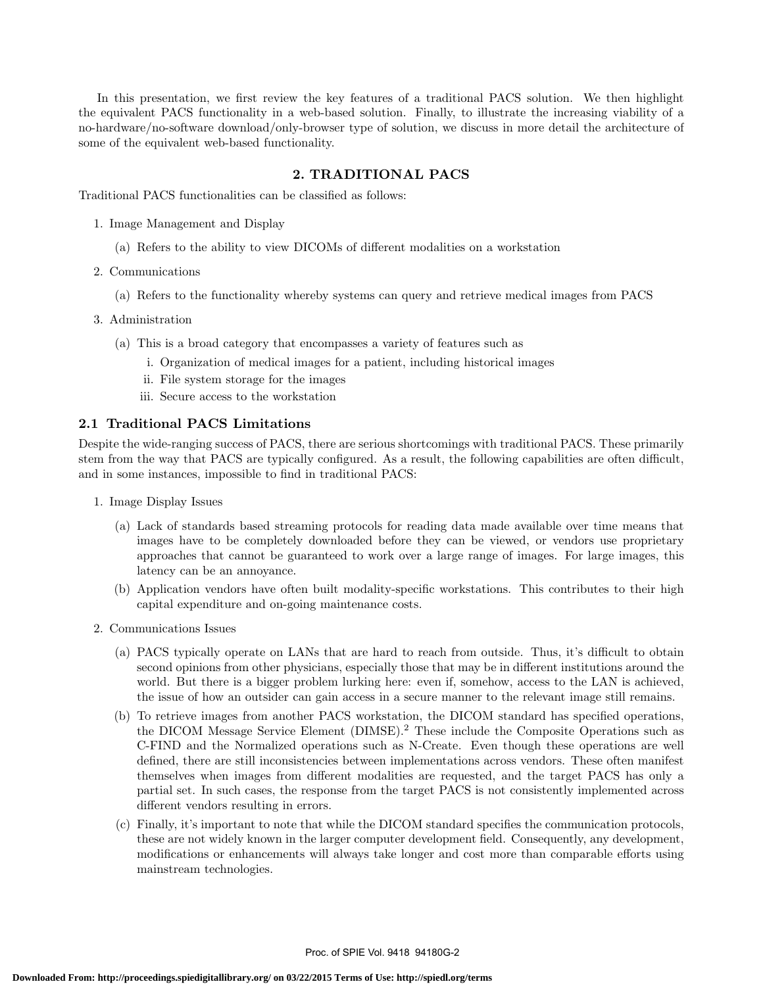In this presentation, we first review the key features of a traditional PACS solution. We then highlight the equivalent PACS functionality in a web-based solution. Finally, to illustrate the increasing viability of a no-hardware/no-software download/only-browser type of solution, we discuss in more detail the architecture of some of the equivalent web-based functionality.

# 2. TRADITIONAL PACS

Traditional PACS functionalities can be classified as follows:

- 1. Image Management and Display
	- (a) Refers to the ability to view DICOMs of different modalities on a workstation
- 2. Communications
	- (a) Refers to the functionality whereby systems can query and retrieve medical images from PACS
- 3. Administration
	- (a) This is a broad category that encompasses a variety of features such as
		- i. Organization of medical images for a patient, including historical images
		- ii. File system storage for the images
		- iii. Secure access to the workstation

### 2.1 Traditional PACS Limitations

Despite the wide-ranging success of PACS, there are serious shortcomings with traditional PACS. These primarily stem from the way that PACS are typically configured. As a result, the following capabilities are often difficult, and in some instances, impossible to find in traditional PACS:

- 1. Image Display Issues
	- (a) Lack of standards based streaming protocols for reading data made available over time means that images have to be completely downloaded before they can be viewed, or vendors use proprietary approaches that cannot be guaranteed to work over a large range of images. For large images, this latency can be an annoyance.
	- (b) Application vendors have often built modality-specific workstations. This contributes to their high capital expenditure and on-going maintenance costs.
- 2. Communications Issues
	- (a) PACS typically operate on LANs that are hard to reach from outside. Thus, it's difficult to obtain second opinions from other physicians, especially those that may be in different institutions around the world. But there is a bigger problem lurking here: even if, somehow, access to the LAN is achieved, the issue of how an outsider can gain access in a secure manner to the relevant image still remains.
	- (b) To retrieve images from another PACS workstation, the DICOM standard has specified operations, the DICOM Message Service Element (DIMSE).<sup>2</sup> These include the Composite Operations such as C-FIND and the Normalized operations such as N-Create. Even though these operations are well defined, there are still inconsistencies between implementations across vendors. These often manifest themselves when images from different modalities are requested, and the target PACS has only a partial set. In such cases, the response from the target PACS is not consistently implemented across different vendors resulting in errors.
	- (c) Finally, it's important to note that while the DICOM standard specifies the communication protocols, these are not widely known in the larger computer development field. Consequently, any development, modifications or enhancements will always take longer and cost more than comparable efforts using mainstream technologies.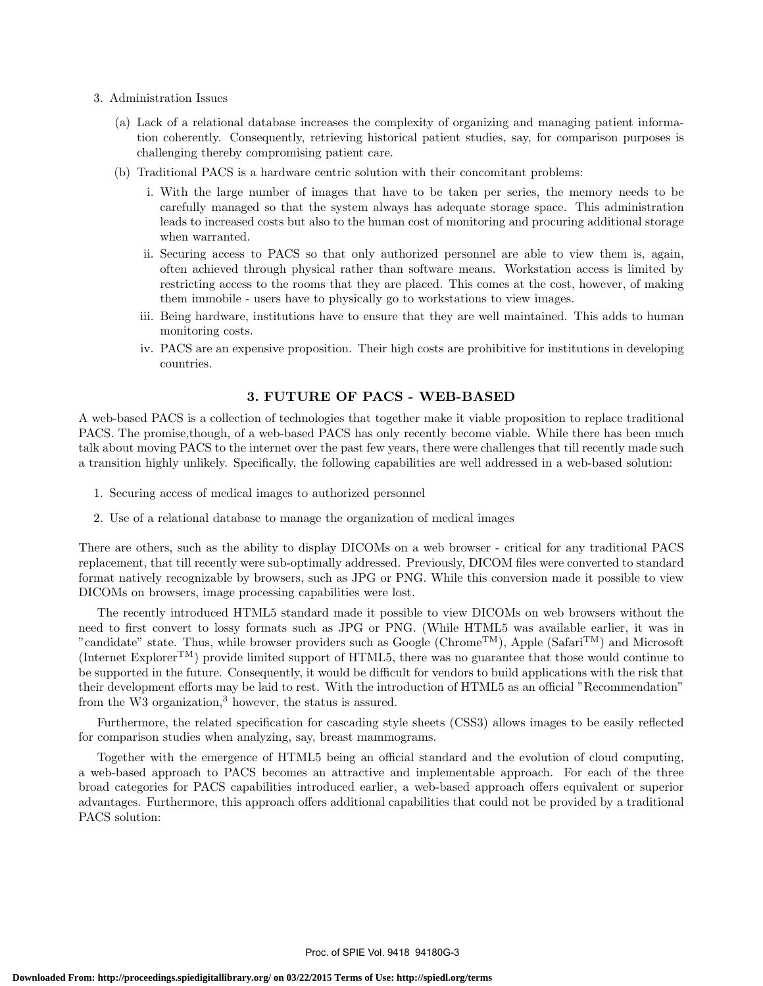- 3. Administration Issues
	- (a) Lack of a relational database increases the complexity of organizing and managing patient information coherently. Consequently, retrieving historical patient studies, say, for comparison purposes is challenging thereby compromising patient care.
	- (b) Traditional PACS is a hardware centric solution with their concomitant problems:
		- i. With the large number of images that have to be taken per series, the memory needs to be carefully managed so that the system always has adequate storage space. This administration leads to increased costs but also to the human cost of monitoring and procuring additional storage when warranted.
		- ii. Securing access to PACS so that only authorized personnel are able to view them is, again, often achieved through physical rather than software means. Workstation access is limited by restricting access to the rooms that they are placed. This comes at the cost, however, of making them immobile - users have to physically go to workstations to view images.
		- iii. Being hardware, institutions have to ensure that they are well maintained. This adds to human monitoring costs.
		- iv. PACS are an expensive proposition. Their high costs are prohibitive for institutions in developing countries.

## 3. FUTURE OF PACS - WEB-BASED

A web-based PACS is a collection of technologies that together make it viable proposition to replace traditional PACS. The promise,though, of a web-based PACS has only recently become viable. While there has been much talk about moving PACS to the internet over the past few years, there were challenges that till recently made such a transition highly unlikely. Specifically, the following capabilities are well addressed in a web-based solution:

- 1. Securing access of medical images to authorized personnel
- 2. Use of a relational database to manage the organization of medical images

There are others, such as the ability to display DICOMs on a web browser - critical for any traditional PACS replacement, that till recently were sub-optimally addressed. Previously, DICOM files were converted to standard format natively recognizable by browsers, such as JPG or PNG. While this conversion made it possible to view DICOMs on browsers, image processing capabilities were lost.

The recently introduced HTML5 standard made it possible to view DICOMs on web browsers without the need to first convert to lossy formats such as JPG or PNG. (While HTML5 was available earlier, it was in "candidate" state. Thus, while browser providers such as Google (Chrome<sup>TM</sup>), Apple (Safari<sup>TM</sup>) and Microsoft (Internet ExplorerTM) provide limited support of HTML5, there was no guarantee that those would continue to be supported in the future. Consequently, it would be difficult for vendors to build applications with the risk that their development efforts may be laid to rest. With the introduction of HTML5 as an official "Recommendation" from the W3 organization, $3$  however, the status is assured.

Furthermore, the related specification for cascading style sheets (CSS3) allows images to be easily reflected for comparison studies when analyzing, say, breast mammograms.

Together with the emergence of HTML5 being an official standard and the evolution of cloud computing, a web-based approach to PACS becomes an attractive and implementable approach. For each of the three broad categories for PACS capabilities introduced earlier, a web-based approach offers equivalent or superior advantages. Furthermore, this approach offers additional capabilities that could not be provided by a traditional PACS solution: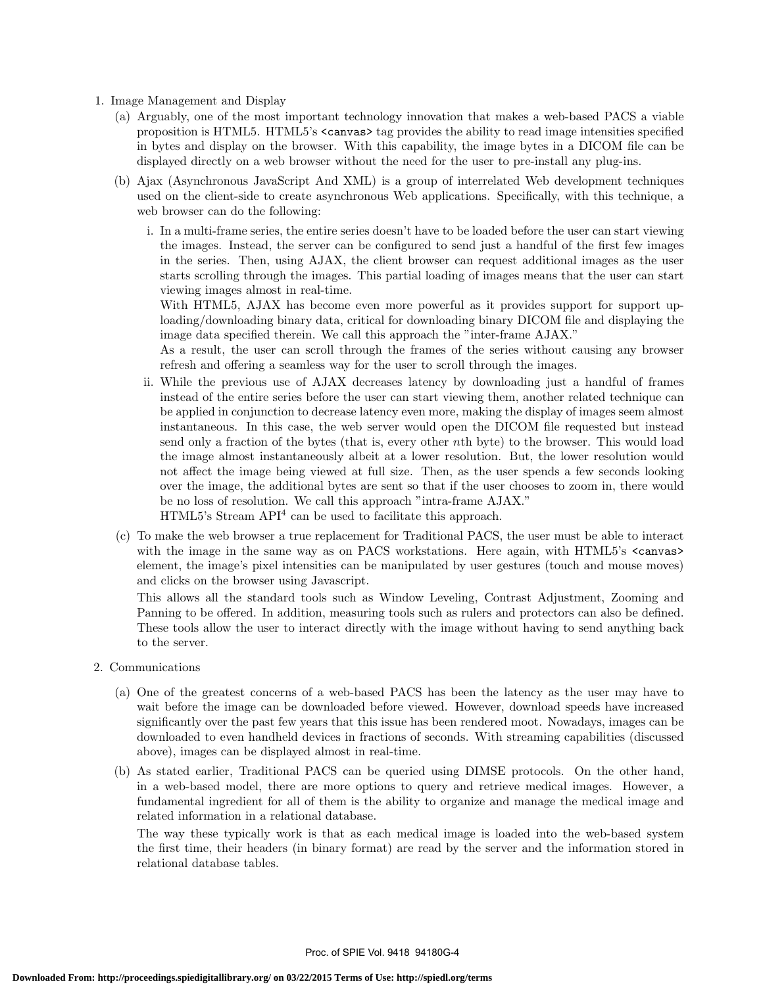- 1. Image Management and Display
	- (a) Arguably, one of the most important technology innovation that makes a web-based PACS a viable proposition is HTML5. HTML5's <canvas> tag provides the ability to read image intensities specified in bytes and display on the browser. With this capability, the image bytes in a DICOM file can be displayed directly on a web browser without the need for the user to pre-install any plug-ins.
	- (b) Ajax (Asynchronous JavaScript And XML) is a group of interrelated Web development techniques used on the client-side to create asynchronous Web applications. Specifically, with this technique, a web browser can do the following:
		- i. In a multi-frame series, the entire series doesn't have to be loaded before the user can start viewing the images. Instead, the server can be configured to send just a handful of the first few images in the series. Then, using AJAX, the client browser can request additional images as the user starts scrolling through the images. This partial loading of images means that the user can start viewing images almost in real-time.

With HTML5, AJAX has become even more powerful as it provides support for support uploading/downloading binary data, critical for downloading binary DICOM file and displaying the image data specified therein. We call this approach the "inter-frame AJAX."

As a result, the user can scroll through the frames of the series without causing any browser refresh and offering a seamless way for the user to scroll through the images.

- ii. While the previous use of AJAX decreases latency by downloading just a handful of frames instead of the entire series before the user can start viewing them, another related technique can be applied in conjunction to decrease latency even more, making the display of images seem almost instantaneous. In this case, the web server would open the DICOM file requested but instead send only a fraction of the bytes (that is, every other nth byte) to the browser. This would load the image almost instantaneously albeit at a lower resolution. But, the lower resolution would not affect the image being viewed at full size. Then, as the user spends a few seconds looking over the image, the additional bytes are sent so that if the user chooses to zoom in, there would be no loss of resolution. We call this approach "intra-frame AJAX." HTML5's Stream API<sup>4</sup> can be used to facilitate this approach.
- (c) To make the web browser a true replacement for Traditional PACS, the user must be able to interact with the image in the same way as on PACS workstations. Here again, with HTML5's  $\zeta$ canvas element, the image's pixel intensities can be manipulated by user gestures (touch and mouse moves) and clicks on the browser using Javascript.

This allows all the standard tools such as Window Leveling, Contrast Adjustment, Zooming and Panning to be offered. In addition, measuring tools such as rulers and protectors can also be defined. These tools allow the user to interact directly with the image without having to send anything back to the server.

- 2. Communications
	- (a) One of the greatest concerns of a web-based PACS has been the latency as the user may have to wait before the image can be downloaded before viewed. However, download speeds have increased significantly over the past few years that this issue has been rendered moot. Nowadays, images can be downloaded to even handheld devices in fractions of seconds. With streaming capabilities (discussed above), images can be displayed almost in real-time.
	- (b) As stated earlier, Traditional PACS can be queried using DIMSE protocols. On the other hand, in a web-based model, there are more options to query and retrieve medical images. However, a fundamental ingredient for all of them is the ability to organize and manage the medical image and related information in a relational database.

The way these typically work is that as each medical image is loaded into the web-based system the first time, their headers (in binary format) are read by the server and the information stored in relational database tables.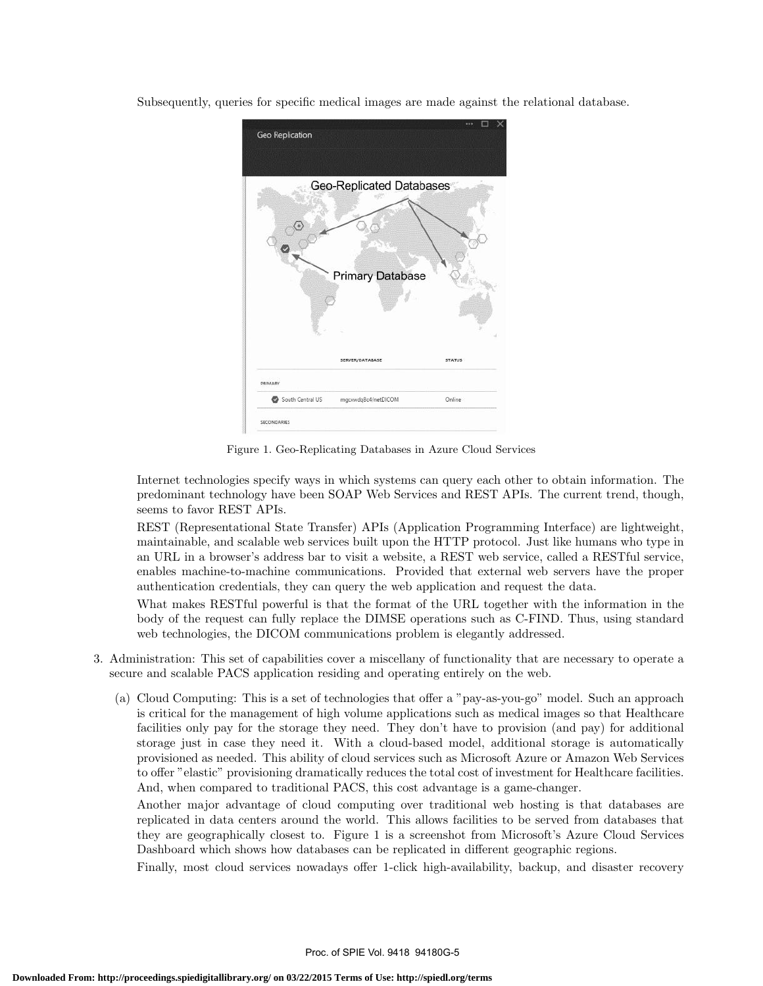Subsequently, queries for specific medical images are made against the relational database.



Figure 1. Geo-Replicating Databases in Azure Cloud Services

Internet technologies specify ways in which systems can query each other to obtain information. The predominant technology have been SOAP Web Services and REST APIs. The current trend, though, seems to favor REST APIs.

REST (Representational State Transfer) APIs (Application Programming Interface) are lightweight, maintainable, and scalable web services built upon the HTTP protocol. Just like humans who type in an URL in a browser's address bar to visit a website, a REST web service, called a RESTful service, enables machine-to-machine communications. Provided that external web servers have the proper authentication credentials, they can query the web application and request the data.

What makes RESTful powerful is that the format of the URL together with the information in the body of the request can fully replace the DIMSE operations such as C-FIND. Thus, using standard web technologies, the DICOM communications problem is elegantly addressed.

- 3. Administration: This set of capabilities cover a miscellany of functionality that are necessary to operate a secure and scalable PACS application residing and operating entirely on the web.
	- (a) Cloud Computing: This is a set of technologies that offer a "pay-as-you-go" model. Such an approach is critical for the management of high volume applications such as medical images so that Healthcare facilities only pay for the storage they need. They don't have to provision (and pay) for additional storage just in case they need it. With a cloud-based model, additional storage is automatically provisioned as needed. This ability of cloud services such as Microsoft Azure or Amazon Web Services to offer "elastic" provisioning dramatically reduces the total cost of investment for Healthcare facilities. And, when compared to traditional PACS, this cost advantage is a game-changer.

Another major advantage of cloud computing over traditional web hosting is that databases are replicated in data centers around the world. This allows facilities to be served from databases that they are geographically closest to. Figure 1 is a screenshot from Microsoft's Azure Cloud Services Dashboard which shows how databases can be replicated in different geographic regions.

Finally, most cloud services nowadays offer 1-click high-availability, backup, and disaster recovery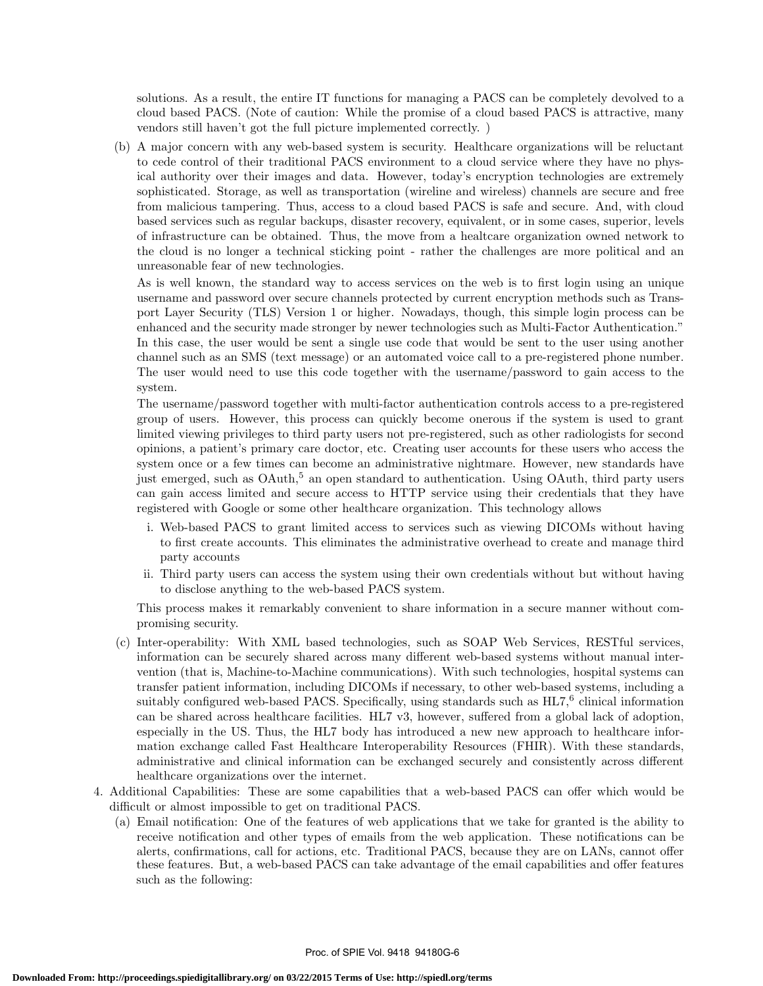solutions. As a result, the entire IT functions for managing a PACS can be completely devolved to a cloud based PACS. (Note of caution: While the promise of a cloud based PACS is attractive, many vendors still haven't got the full picture implemented correctly. )

(b) A major concern with any web-based system is security. Healthcare organizations will be reluctant to cede control of their traditional PACS environment to a cloud service where they have no physical authority over their images and data. However, today's encryption technologies are extremely sophisticated. Storage, as well as transportation (wireline and wireless) channels are secure and free from malicious tampering. Thus, access to a cloud based PACS is safe and secure. And, with cloud based services such as regular backups, disaster recovery, equivalent, or in some cases, superior, levels of infrastructure can be obtained. Thus, the move from a healtcare organization owned network to the cloud is no longer a technical sticking point - rather the challenges are more political and an unreasonable fear of new technologies.

As is well known, the standard way to access services on the web is to first login using an unique username and password over secure channels protected by current encryption methods such as Transport Layer Security (TLS) Version 1 or higher. Nowadays, though, this simple login process can be enhanced and the security made stronger by newer technologies such as Multi-Factor Authentication." In this case, the user would be sent a single use code that would be sent to the user using another channel such as an SMS (text message) or an automated voice call to a pre-registered phone number. The user would need to use this code together with the username/password to gain access to the system.

The username/password together with multi-factor authentication controls access to a pre-registered group of users. However, this process can quickly become onerous if the system is used to grant limited viewing privileges to third party users not pre-registered, such as other radiologists for second opinions, a patient's primary care doctor, etc. Creating user accounts for these users who access the system once or a few times can become an administrative nightmare. However, new standards have just emerged, such as  $O\text{Auth}^5$  an open standard to authentication. Using  $O\text{Auth}$ , third party users can gain access limited and secure access to HTTP service using their credentials that they have registered with Google or some other healthcare organization. This technology allows

- i. Web-based PACS to grant limited access to services such as viewing DICOMs without having to first create accounts. This eliminates the administrative overhead to create and manage third party accounts
- ii. Third party users can access the system using their own credentials without but without having to disclose anything to the web-based PACS system.

This process makes it remarkably convenient to share information in a secure manner without compromising security.

- (c) Inter-operability: With XML based technologies, such as SOAP Web Services, RESTful services, information can be securely shared across many different web-based systems without manual intervention (that is, Machine-to-Machine communications). With such technologies, hospital systems can transfer patient information, including DICOMs if necessary, to other web-based systems, including a suitably configured web-based PACS. Specifically, using standards such as  $HL7$ ,<sup>6</sup> clinical information can be shared across healthcare facilities. HL7 v3, however, suffered from a global lack of adoption, especially in the US. Thus, the HL7 body has introduced a new new approach to healthcare information exchange called Fast Healthcare Interoperability Resources (FHIR). With these standards, administrative and clinical information can be exchanged securely and consistently across different healthcare organizations over the internet.
- 4. Additional Capabilities: These are some capabilities that a web-based PACS can offer which would be difficult or almost impossible to get on traditional PACS.
	- (a) Email notification: One of the features of web applications that we take for granted is the ability to receive notification and other types of emails from the web application. These notifications can be alerts, confirmations, call for actions, etc. Traditional PACS, because they are on LANs, cannot offer these features. But, a web-based PACS can take advantage of the email capabilities and offer features such as the following: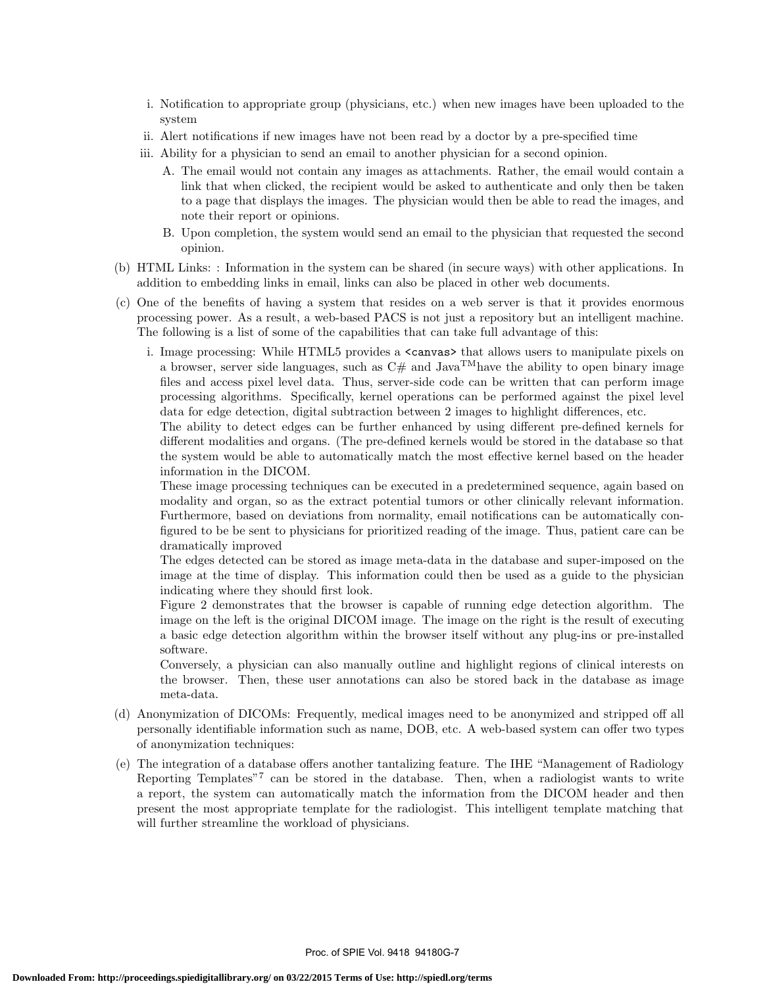- i. Notification to appropriate group (physicians, etc.) when new images have been uploaded to the system
- ii. Alert notifications if new images have not been read by a doctor by a pre-specified time
- iii. Ability for a physician to send an email to another physician for a second opinion.
	- A. The email would not contain any images as attachments. Rather, the email would contain a link that when clicked, the recipient would be asked to authenticate and only then be taken to a page that displays the images. The physician would then be able to read the images, and note their report or opinions.
	- B. Upon completion, the system would send an email to the physician that requested the second opinion.
- (b) HTML Links: : Information in the system can be shared (in secure ways) with other applications. In addition to embedding links in email, links can also be placed in other web documents.
- (c) One of the benefits of having a system that resides on a web server is that it provides enormous processing power. As a result, a web-based PACS is not just a repository but an intelligent machine. The following is a list of some of the capabilities that can take full advantage of this:
	- i. Image processing: While HTML5 provides a <canvas> that allows users to manipulate pixels on a browser, server side languages, such as  $C#$  and Java<sup>TM</sup> have the ability to open binary image files and access pixel level data. Thus, server-side code can be written that can perform image processing algorithms. Specifically, kernel operations can be performed against the pixel level data for edge detection, digital subtraction between 2 images to highlight differences, etc.

The ability to detect edges can be further enhanced by using different pre-defined kernels for different modalities and organs. (The pre-defined kernels would be stored in the database so that the system would be able to automatically match the most effective kernel based on the header information in the DICOM.

These image processing techniques can be executed in a predetermined sequence, again based on modality and organ, so as the extract potential tumors or other clinically relevant information. Furthermore, based on deviations from normality, email notifications can be automatically configured to be be sent to physicians for prioritized reading of the image. Thus, patient care can be dramatically improved

The edges detected can be stored as image meta-data in the database and super-imposed on the image at the time of display. This information could then be used as a guide to the physician indicating where they should first look.

Figure 2 demonstrates that the browser is capable of running edge detection algorithm. The image on the left is the original DICOM image. The image on the right is the result of executing a basic edge detection algorithm within the browser itself without any plug-ins or pre-installed software.

Conversely, a physician can also manually outline and highlight regions of clinical interests on the browser. Then, these user annotations can also be stored back in the database as image meta-data.

- (d) Anonymization of DICOMs: Frequently, medical images need to be anonymized and stripped off all personally identifiable information such as name, DOB, etc. A web-based system can offer two types of anonymization techniques:
- (e) The integration of a database offers another tantalizing feature. The IHE "Management of Radiology Reporting Templates<sup>"7</sup> can be stored in the database. Then, when a radiologist wants to write a report, the system can automatically match the information from the DICOM header and then present the most appropriate template for the radiologist. This intelligent template matching that will further streamline the workload of physicians.